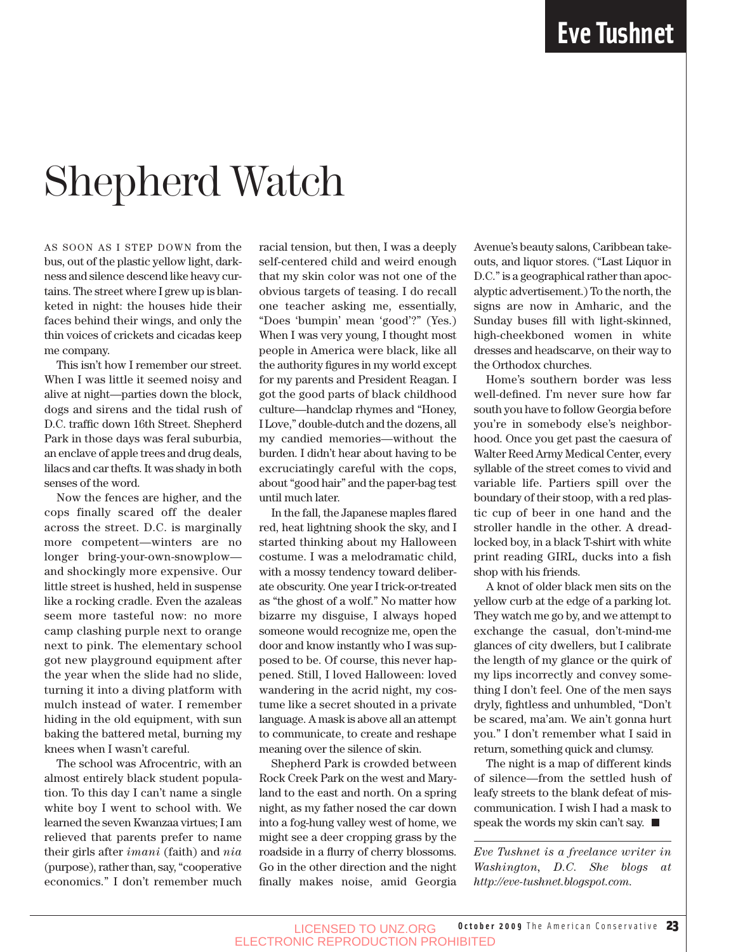## Shepherd Watch

AS SOON AS I STEP DOWN from the bus, out of the plastic yellow light, darkness and silence descend like heavy curtains. The street where I grew up is blanketed in night: the houses hide their faces behind their wings, and only the thin voices of crickets and cicadas keep me company.

This isn't how I remember our street. When I was little it seemed noisy and alive at night—parties down the block, dogs and sirens and the tidal rush of D.C. traffic down 16th Street. Shepherd Park in those days was feral suburbia, an enclave of apple trees and drug deals, lilacs and car thefts. It was shady in both senses of the word.

Now the fences are higher, and the cops finally scared off the dealer across the street. D.C. is marginally more competent—winters are no longer bring-your-own-snowplow and shockingly more expensive. Our little street is hushed, held in suspense like a rocking cradle. Even the azaleas seem more tasteful now: no more camp clashing purple next to orange next to pink. The elementary school got new playground equipment after the year when the slide had no slide, turning it into a diving platform with mulch instead of water. I remember hiding in the old equipment, with sun baking the battered metal, burning my knees when I wasn't careful.

The school was Afrocentric, with an almost entirely black student population. To this day I can't name a single white boy I went to school with. We learned the seven Kwanzaa virtues; I am relieved that parents prefer to name their girls after *imani* (faith) and *nia* (purpose), rather than, say, "cooperative economics." I don't remember much

racial tension, but then, I was a deeply self-centered child and weird enough that my skin color was not one of the obvious targets of teasing. I do recall one teacher asking me, essentially, "Does 'bumpin' mean 'good'?" (Yes.) When I was very young, I thought most people in America were black, like all the authority figures in my world except for my parents and President Reagan. I got the good parts of black childhood culture—handclap rhymes and "Honey, I Love," double-dutch and the dozens, all my candied memories—without the burden. I didn't hear about having to be excruciatingly careful with the cops, about "good hair" and the paper-bag test until much later.

In the fall, the Japanese maples flared red, heat lightning shook the sky, and I started thinking about my Halloween costume. I was a melodramatic child, with a mossy tendency toward deliberate obscurity. One year I trick-or-treated as "the ghost of a wolf." No matter how bizarre my disguise, I always hoped someone would recognize me, open the door and know instantly who I was supposed to be. Of course, this never happened. Still, I loved Halloween: loved wandering in the acrid night, my costume like a secret shouted in a private language. A mask is above all an attempt to communicate, to create and reshape meaning over the silence of skin.

Shepherd Park is crowded between Rock Creek Park on the west and Maryland to the east and north. On a spring night, as my father nosed the car down into a fog-hung valley west of home, we might see a deer cropping grass by the roadside in a flurry of cherry blossoms. Go in the other direction and the night finally makes noise, amid Georgia Avenue's beauty salons, Caribbean takeouts, and liquor stores. ("Last Liquor in D.C." is a geographical rather than apocalyptic advertisement.) To the north, the signs are now in Amharic, and the Sunday buses fill with light-skinned, high-cheekboned women in white dresses and headscarve, on their way to the Orthodox churches.

Home's southern border was less well-defined. I'm never sure how far south you have to follow Georgia before you're in somebody else's neighborhood. Once you get past the caesura of Walter Reed Army Medical Center, every syllable of the street comes to vivid and variable life. Partiers spill over the boundary of their stoop, with a red plastic cup of beer in one hand and the stroller handle in the other. A dreadlocked boy, in a black T-shirt with white print reading GIRL, ducks into a fish shop with his friends.

A knot of older black men sits on the yellow curb at the edge of a parking lot. They watch me go by, and we attempt to exchange the casual, don't-mind-me glances of city dwellers, but I calibrate the length of my glance or the quirk of my lips incorrectly and convey something I don't feel. One of the men says dryly, fightless and unhumbled, "Don't be scared, ma'am. We ain't gonna hurt you." I don't remember what I said in return, something quick and clumsy.

The night is a map of different kinds of silence—from the settled hush of leafy streets to the blank defeat of miscommunication. I wish I had a mask to speak the words my skin can't say.  $\blacksquare$ 

*Eve Tushnet is a freelance writer in Washington, D.C. She blogs at http://eve-tushnet.blogspot.com.*